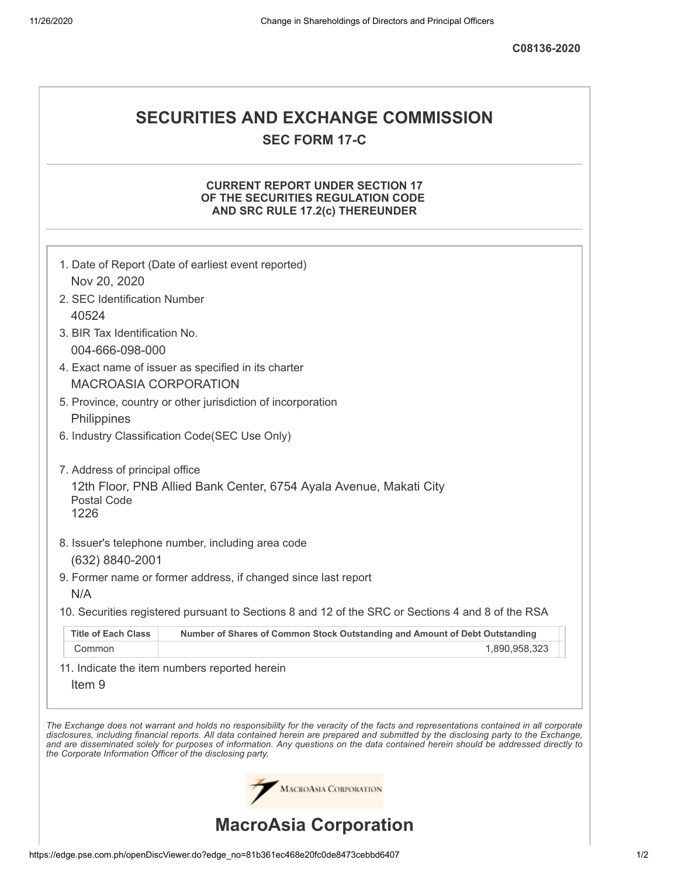**C08136-2020**

# **SECURITIES AND EXCHANGE COMMISSION SEC FORM 17-C**

## **CURRENT REPORT UNDER SECTION 17 OF THE SECURITIES REGULATION CODE AND SRC RULE 17.2(c) THEREUNDER**

|                                                            | 1. Date of Report (Date of earliest event reported)                                                                                                                                                                                                                                                                                                                                                                      |
|------------------------------------------------------------|--------------------------------------------------------------------------------------------------------------------------------------------------------------------------------------------------------------------------------------------------------------------------------------------------------------------------------------------------------------------------------------------------------------------------|
| Nov 20, 2020                                               |                                                                                                                                                                                                                                                                                                                                                                                                                          |
| 2. SEC Identification Number                               |                                                                                                                                                                                                                                                                                                                                                                                                                          |
| 40524                                                      |                                                                                                                                                                                                                                                                                                                                                                                                                          |
| 3. BIR Tax Identification No.                              |                                                                                                                                                                                                                                                                                                                                                                                                                          |
| 004-666-098-000                                            |                                                                                                                                                                                                                                                                                                                                                                                                                          |
|                                                            | 4. Exact name of issuer as specified in its charter                                                                                                                                                                                                                                                                                                                                                                      |
| <b>MACROASIA CORPORATION</b>                               |                                                                                                                                                                                                                                                                                                                                                                                                                          |
|                                                            | 5. Province, country or other jurisdiction of incorporation                                                                                                                                                                                                                                                                                                                                                              |
| Philippines                                                |                                                                                                                                                                                                                                                                                                                                                                                                                          |
|                                                            | 6. Industry Classification Code(SEC Use Only)                                                                                                                                                                                                                                                                                                                                                                            |
| 7. Address of principal office<br>Postal Code<br>1226      | 12th Floor, PNB Allied Bank Center, 6754 Ayala Avenue, Makati City                                                                                                                                                                                                                                                                                                                                                       |
| (632) 8840-2001                                            | 8. Issuer's telephone number, including area code                                                                                                                                                                                                                                                                                                                                                                        |
|                                                            | 9. Former name or former address, if changed since last report                                                                                                                                                                                                                                                                                                                                                           |
| N/A                                                        |                                                                                                                                                                                                                                                                                                                                                                                                                          |
|                                                            | 10. Securities registered pursuant to Sections 8 and 12 of the SRC or Sections 4 and 8 of the RSA                                                                                                                                                                                                                                                                                                                        |
| <b>Title of Each Class</b>                                 | Number of Shares of Common Stock Outstanding and Amount of Debt Outstanding                                                                                                                                                                                                                                                                                                                                              |
| Common                                                     | 1,890,958,323                                                                                                                                                                                                                                                                                                                                                                                                            |
| Item <sub>9</sub>                                          | 11. Indicate the item numbers reported herein                                                                                                                                                                                                                                                                                                                                                                            |
| the Corporate Information Officer of the disclosing party. | The Exchange does not warrant and holds no responsibility for the veracity of the facts and representations contained in all corporate<br>disclosures, including financial reports. All data contained herein are prepared and submitted by the disclosing party to the Exchange,<br>and are disseminated solely for purposes of information. Any questions on the data contained herein should be addressed directly to |
|                                                            | MACROASIA CORPORATION                                                                                                                                                                                                                                                                                                                                                                                                    |
|                                                            | <b>MacroAsia Corporation</b>                                                                                                                                                                                                                                                                                                                                                                                             |